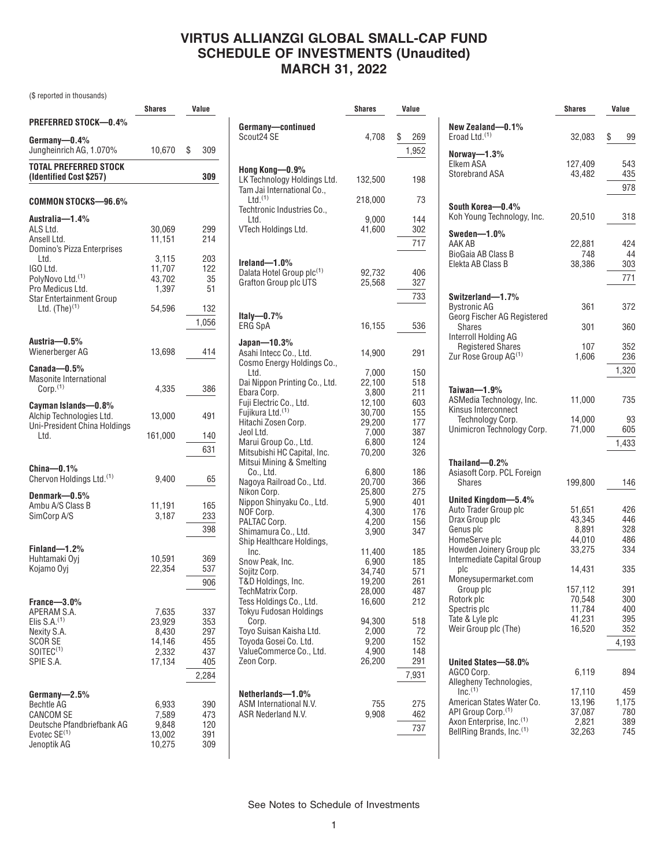### **VIRTUS ALLIANZGI GLOBAL SMALL-CAP FUND SCHEDULE OF INVESTMENTS (Unaudited) MARCH 31, 2022**

(\$ reported in thousands)

|                                                                                                                              | <b>Shares</b>                                         | Value                                           |
|------------------------------------------------------------------------------------------------------------------------------|-------------------------------------------------------|-------------------------------------------------|
| <b>PREFERRED STOCK-0.4%</b>                                                                                                  |                                                       |                                                 |
| Germany-0.4%<br>Jungheinrich AG, 1.070%                                                                                      | 10,670                                                | \$<br>309                                       |
| TOTAL PREFERRED STOCK<br>(Identified Cost \$257)                                                                             |                                                       | 309                                             |
| COMMON STOCKS-96.6%                                                                                                          |                                                       |                                                 |
| Australia-1.4%<br>ALS Ltd.<br>Ansell Ltd.<br>Domino's Pizza Enterprises                                                      | 30,069<br>11.151                                      | 299<br>214                                      |
| Ltd.<br>IGO Ltd.<br>PolyNovo Ltd. <sup>(1)</sup><br>Pro Medicus Ltd.                                                         | 3,115<br>11,707<br>43,702<br>1,397                    | 203<br>122<br>35<br>51                          |
| <b>Star Entertainment Group</b><br>Ltd. $(The)^{(1)}$                                                                        | 54,596                                                | 132<br>1,056                                    |
| Austria-0.5%<br>Wienerberger AG                                                                                              | 13,698                                                | 414                                             |
| Canada-0.5%<br>Masonite International<br>Corp. <sup>(1)</sup>                                                                | 4.335                                                 | 386                                             |
| Cayman Islands—0.8%<br>Alchip Technologies Ltd.<br>Uni-President China Holdings                                              | 13,000                                                | 491                                             |
| Ltd.                                                                                                                         | 161,000                                               | 140<br>631                                      |
| $China-0.1%$<br>Chervon Holdings Ltd. <sup>(1)</sup>                                                                         | 9,400                                                 | 65                                              |
| Denmark-0.5%<br>Ambu A/S Class B<br>SimCorp A/S                                                                              | 11,191<br>3,187                                       | 165<br>233<br>398                               |
| Finland-1.2%<br>Huhtamaki Ovi<br>Kojamo Oyj                                                                                  | 10,591<br>22,354                                      | 369<br>537<br>906                               |
| France-3.0%<br>APERAM S.A.<br>Elis $S.A.(1)$<br>Nexity S.A.<br><b>SCORSE</b><br>SOITEC <sup>(1)</sup><br>SPIE S.A.           | 7,635<br>23,929<br>8,430<br>14,146<br>2,332<br>17,134 | 337<br>353<br>297<br>455<br>437<br>405<br>2,284 |
| $Germany = 2.5\%$<br>Bechtle AG<br><b>CANCOM SE</b><br>Deutsche Pfandbriefbank AG<br>Evotec SE <sup>(1)</sup><br>Jenoptik AG | 6,933<br>7,589<br>9,848<br>13,002<br>10,275           | 390<br>473<br>120<br>391<br>309                 |

|                                                          | <b>Shares</b>   | Value      |
|----------------------------------------------------------|-----------------|------------|
| Germany-continued                                        |                 |            |
| Scout24 SE                                               | 4,708           | \$<br>269  |
|                                                          |                 | 1,952      |
|                                                          |                 |            |
| Hong Kong—0.9%                                           |                 |            |
| LK Technology Holdings Ltd.                              | 132,500         | 198        |
| Tam Jai International Co.,<br>$Ltd.$ <sup>(1)</sup>      | 218,000         | 73         |
| Techtronic Industries Co.,                               |                 |            |
| Ltd.                                                     | 9,000           | 144        |
| VTech Holdings Ltd.                                      | 41,600          | 302        |
|                                                          |                 | 717        |
|                                                          |                 |            |
| $I$ reland $-1.0\%$<br>Dalata Hotel Group plc(1)         | 92,732          | 406        |
| <b>Grafton Group plc UTS</b>                             | 25,568          | 327        |
|                                                          |                 | 733        |
|                                                          |                 |            |
| Italy- $0.7%$                                            |                 |            |
| <b>ERG SpA</b>                                           | 16,155          | 536        |
| Japan—10.3%                                              |                 |            |
| Asahi Intecc Co., Ltd.                                   | 14,900          | 291        |
| Cosmo Energy Holdings Co.,                               |                 |            |
| Ltd.<br>Dai Nippon Printing Co., Ltd.                    | 7,000<br>22,100 | 150<br>518 |
| Ebara Corp.                                              | 3,800           | 211        |
| Fuji Electric Co., Ltd.                                  | 12,100          | 603        |
| Fujikura Ltd. <sup>(1)</sup>                             | 30,700          | 155        |
| Hitachi Zosen Corp.                                      | 29,200          | 177        |
| Jeol Ltd.<br>Marui Group Co., Ltd.                       | 7,000<br>6,800  | 387<br>124 |
| Mitsubishi HC Capital, Inc.                              | 70,200          | 326        |
| Mitsui Mining & Smelting                                 |                 |            |
| Co., Ltd.                                                | 6,800           | 186        |
| Nagoya Railroad Co., Ltd.                                | 20,700          | 366        |
| Nikon Corp.<br>Nippon Shinyaku Co., Ltd.                 | 25,800<br>5,900 | 275<br>401 |
| NOF Corp.                                                | 4,300           | 176        |
| PALTAC Corp.                                             | 4,200           | 156        |
| Shimamura Co., Ltd.                                      | 3,900           | 347        |
| Ship Healthcare Holdings,<br>Inc.                        | 11,400          | 185        |
| Snow Peak, Inc.                                          | 6,900           | 185        |
| Sojitz Corp.                                             | 34,740          | 571        |
| T&D Holdings, Inc.                                       | 19,200          | 261        |
| TechMatrix Corp.                                         | 28,000          | 487        |
| Tess Holdings Co., Ltd.<br><b>Tokyu Fudosan Holdings</b> | 16,600          | 212        |
| Corp.                                                    | 94.300          | 518        |
| Toyo Suisan Kaisha Ltd.                                  | 2,000           | 72         |
| Toyoda Gosei Co. Ltd.                                    | 9,200           | 152        |
| ValueCommerce Co., Ltd.                                  | 4,900           | 148        |
| Zeon Corp.                                               | 26.200          | 291        |
|                                                          |                 | 7,931      |
| Netherlands-1.0%                                         |                 |            |
| ASM International N.V.                                   | 755             | 275        |
| ASR Nederland N.V.                                       | 9,908           | 462        |
|                                                          |                 | 737        |
|                                                          |                 |            |

|                                                             | <b>Shares</b>     | Value        |
|-------------------------------------------------------------|-------------------|--------------|
| New Zealand-0.1%                                            |                   |              |
| Eroad Ltd. <sup>(1)</sup>                                   | 32,083            | \$<br>99     |
| Norway-1.3%<br>Elkem ASA                                    |                   | 543          |
| <b>Storebrand ASA</b>                                       | 127,409<br>43,482 | 435          |
|                                                             |                   | 978          |
|                                                             |                   |              |
| South Korea-0.4%<br>Koh Young Technology, Inc.              | 20,510            | 318          |
| Sweden-1.0%                                                 |                   |              |
| AAK AR                                                      | 22,881            | 424          |
| <b>BioGaia AB Class B</b><br>Elekta AB Class B              | 748<br>38,386     | 44<br>303    |
|                                                             |                   | 771          |
|                                                             |                   |              |
| Switzerland-1.7%                                            |                   |              |
| <b>Bystronic AG</b><br>Georg Fischer AG Registered          | 361               | 372          |
| <b>Shares</b>                                               | 301               | 360          |
| Interroll Holding AG<br><b>Registered Shares</b>            | 107               | 352          |
| Zur Rose Group AG <sup>(1)</sup>                            | 1,606             | 236          |
|                                                             |                   | 1,320        |
|                                                             |                   |              |
| Taiwan-1.9%<br>ASMedia Technology, Inc.                     | 11,000            | 735          |
| Kinsus Interconnect                                         |                   |              |
| Technology Corp.<br>Unimicron Technology Corp.              | 14,000<br>71,000  | 93<br>605    |
|                                                             |                   | 1,433        |
|                                                             |                   |              |
| Thailand-0.2%                                               |                   |              |
| Asiasoft Corp. PCL Foreign<br>Shares                        | 199,800           | 146          |
|                                                             |                   |              |
| United Kingdom-5.4%<br>Auto Trader Group plc                | 51,651            | 426          |
| Drax Group plc                                              | 43,345            | 446          |
| Genus plc<br>HomeServe plc                                  | 8,891<br>44,010   | 328<br>486   |
| Howden Joinery Group plc                                    | 33,275            | 334          |
| Intermediate Capital Group                                  |                   |              |
| plc<br>Moneysupermarket.com                                 | 14.431            | 335          |
| Group plc                                                   | 157,112           | 391          |
| Rotork plc                                                  | 70,548            | 300          |
| Spectris plc<br>Tate & Lyle plc                             | 11,784<br>41,231  | 400<br>395   |
| Weir Group plc (The)                                        | 16,520            | 352          |
|                                                             |                   | 4,193        |
|                                                             |                   |              |
| United States-58.0%<br>AGCO Corp.                           | 6,119             | 894          |
| Allegheny Technologies,                                     |                   |              |
| Inc. <sup>(1)</sup>                                         | 17,110            | 459          |
| American States Water Co.<br>API Group Corp. <sup>(1)</sup> | 13,196<br>37,087  | 1,175<br>780 |
| Axon Enterprise, Inc. <sup>(1)</sup>                        | 2,821             | 389          |
| BellRing Brands, Inc. <sup>(1)</sup>                        | 32,263            | 745          |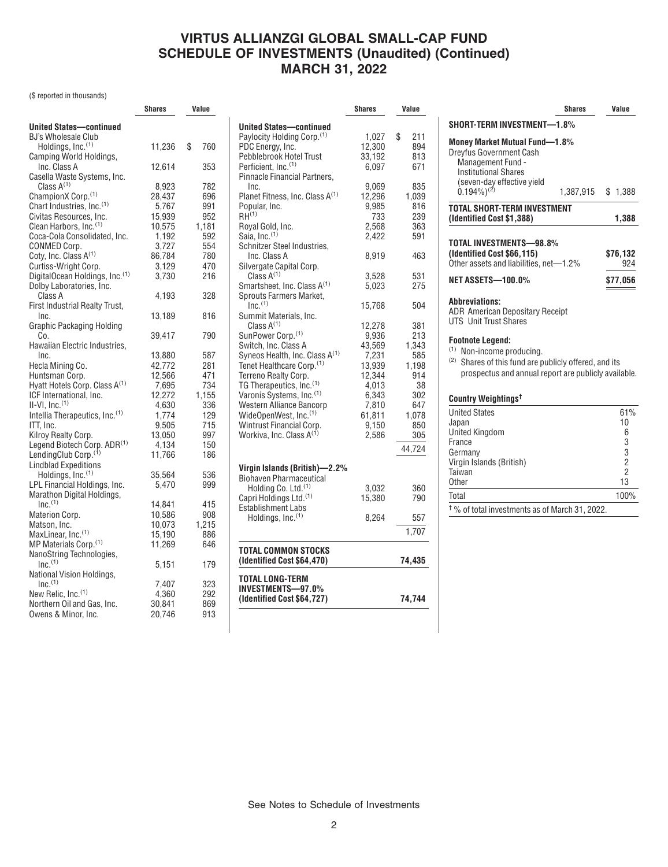# **VIRTUS ALLIANZGI GLOBAL SMALL-CAP FUND SCHEDULE OF INVESTMENTS (Unaudited) (Continued) MARCH 31, 2022**

### (\$ reported in thousands)

|                                            | Shares |           |  | Value |
|--------------------------------------------|--------|-----------|--|-------|
| <b>United States-continued</b>             |        |           |  |       |
| BJ's Wholesale Club                        |        |           |  |       |
| Holdings, Inc. <sup>(1)</sup>              | 11,236 | \$<br>760 |  |       |
| Camping World Holdings,                    |        |           |  |       |
| Inc. Class A                               | 12,614 | 353       |  |       |
| Casella Waste Systems, Inc.                |        |           |  |       |
| Class $A^{(1)}$                            | 8,923  | 782       |  |       |
| ChampionX Corp. <sup>(1)</sup>             | 28,437 | 696       |  |       |
| Chart Industries, Inc. <sup>(1)</sup>      | 5,767  | 991       |  |       |
| Civitas Resources, Inc.                    | 15,939 | 952       |  |       |
| Clean Harbors, Inc. <sup>(1)</sup>         | 10,575 | 1,181     |  |       |
| Coca-Cola Consolidated, Inc.               | 1,192  | 592       |  |       |
| CONMED Corp.                               | 3,727  | 554       |  |       |
| Coty, Inc. Class A <sup>(1)</sup>          | 86,784 | 780       |  |       |
| Curtiss-Wright Corp.                       | 3,129  | 470       |  |       |
| DigitalOcean Holdings, Inc. (1)            | 3,730  | 216       |  |       |
| Dolby Laboratories, Inc.                   |        |           |  |       |
| Class A                                    | 4,193  | 328       |  |       |
| First Industrial Realty Trust,             |        |           |  |       |
| Inc.                                       | 13,189 | 816       |  |       |
| Graphic Packaging Holding                  |        |           |  |       |
| Co.                                        | 39,417 | 790       |  |       |
| Hawaiian Electric Industries,              |        |           |  |       |
| Inc.                                       | 13,880 | 587       |  |       |
| Hecla Mining Co.                           | 42,772 | 281       |  |       |
| Huntsman Corp.                             | 12,566 | 471       |  |       |
| Hyatt Hotels Corp. Class A <sup>(1)</sup>  | 7,695  | 734       |  |       |
| ICF International, Inc.                    | 12,272 | 1,155     |  |       |
| $II-VI, Inc.(1)$                           | 4,630  | 336       |  |       |
| Intellia Therapeutics, Inc. <sup>(1)</sup> | 1,774  | 129       |  |       |
| ITT, Inc.                                  | 9,505  | 715       |  |       |
| Kilroy Realty Corp.                        | 13,050 | 997       |  |       |
| Legend Biotech Corp. ADR(1)                | 4,134  | 150       |  |       |
| LendingClub Corp. <sup>(1)</sup>           | 11,766 | 186       |  |       |
| <b>Lindblad Expeditions</b>                |        |           |  |       |
| Holdings, Inc. <sup>(1)</sup>              | 35,564 | 536       |  |       |
| LPL Financial Holdings, Inc.               | 5,470  | 999       |  |       |
| Marathon Digital Holdings,                 |        |           |  |       |
| $Inc.$ <sup>(1)</sup>                      | 14,841 | 415       |  |       |
| Materion Corp.                             | 10,586 | 908       |  |       |
| Matson, Inc.                               | 10,073 | 1,215     |  |       |
| MaxLinear, Inc. <sup>(1)</sup>             | 15,190 | 886       |  |       |
| MP Materials Corp. <sup>(1)</sup>          | 11,269 | 646       |  |       |
| NanoString Technologies,                   |        |           |  |       |
| $Inc.$ <sup>(1)</sup>                      | 5,151  | 179       |  |       |
| National Vision Holdings,                  |        |           |  |       |
| $Inc.$ <sup>(1)</sup>                      | 7,407  | 323       |  |       |
| New Relic, Inc. <sup>(1)</sup>             | 4,360  | 292       |  |       |
| Northern Oil and Gas, Inc.                 | 30,841 | 869       |  |       |
| Owens & Minor, Inc.                        | 20,746 | 913       |  |       |

|                                               | Shares         | Value      |
|-----------------------------------------------|----------------|------------|
|                                               |                |            |
| <b>United States-continued</b>                |                |            |
| Paylocity Holding Corp. <sup>(1)</sup>        | 1,027          | \$<br>211  |
| PDC Eneray, Inc.                              | 12,300         | 894        |
| Pebblebrook Hotel Trust                       | 33,192         | 813        |
| Perficient, Inc. <sup>(1)</sup>               | 6.097          | 671        |
| Pinnacle Financial Partners,                  |                |            |
| Inc.                                          | 9.069          | 835        |
| Planet Fitness, Inc. Class A <sup>(1)</sup>   | 12,296         | 1,039      |
| Popular, Inc.<br>$RH^{(1)}$                   | 9,985          | 816        |
|                                               | 733            | 239<br>363 |
| Royal Gold, Inc.<br>Saia. Inc. <sup>(1)</sup> | 2,568<br>2.422 | 591        |
|                                               |                |            |
| Schnitzer Steel Industries,<br>Inc. Class A   |                | 463        |
|                                               | 8,919          |            |
| Silvergate Capital Corp.<br>Class $A^{(1)}$   | 3,528          | 531        |
| Smartsheet, Inc. Class A <sup>(1)</sup>       | 5,023          | 275        |
| Sprouts Farmers Market,                       |                |            |
| $Inc.$ <sup>(1)</sup>                         | 15,768         | 504        |
| Summit Materials, Inc.                        |                |            |
| Class $A^{(1)}$                               | 12,278         | 381        |
| SunPower Corp. <sup>(1)</sup>                 | 9,936          | 213        |
| Switch, Inc. Class A                          | 43,569         | 1,343      |
| Syneos Health, Inc. Class A <sup>(1)</sup>    | 7,231          | 585        |
| Tenet Healthcare Corp. <sup>(1)</sup>         | 13,939         | 1,198      |
| Terreno Realty Corp.                          | 12,344         | 914        |
| TG Therapeutics, Inc. <sup>(1)</sup>          | 4,013          | 38         |
| Varonis Systems, Inc. (1)                     | 6,343          | 302        |
| Western Alliance Bancorp                      | 7,810          | 647        |
| WideOpenWest, Inc. <sup>(1)</sup>             | 61.811         | 1.078      |
| Wintrust Financial Corp.                      | 9,150          | 850        |
| Workiva, Inc. Class A <sup>(1)</sup>          | 2,586          | 305        |
|                                               |                | 44,724     |
|                                               |                |            |
| Virgin Islands (British)—2.2%                 |                |            |
| <b>Biohaven Pharmaceutical</b>                |                |            |
| Holding Co. Ltd. <sup>(1)</sup>               | 3,032          | 360        |
| Capri Holdings Ltd. <sup>(1)</sup>            | 15,380         | 790        |
| <b>Establishment Labs</b>                     |                |            |
| Holdings, Inc. <sup>(1)</sup>                 | 8,264          | 557        |
|                                               |                |            |
|                                               |                | 1,707      |
| TOTAL COMMON STOCKS                           |                |            |
| (Identified Cost \$64,470)                    |                | 74,435     |
| TOTAL LONG-TERM                               |                |            |
| <b>INVESTMENTS-97.0%</b>                      |                |            |
| (Identified Cost \$64,727)                    |                | 74,744     |

|                                                                                                                                                                               | <b>Shares</b> | Value                                                                   |  |
|-------------------------------------------------------------------------------------------------------------------------------------------------------------------------------|---------------|-------------------------------------------------------------------------|--|
| SHORT-TERM INVESTMENT-1.8%                                                                                                                                                    |               |                                                                         |  |
| <b>Money Market Mutual Fund-1.8%</b><br><b>Dreyfus Government Cash</b><br>Management Fund -<br><b>Institutional Shares</b><br>(seven-day effective yield<br>$(0.194\%)^{(2)}$ |               |                                                                         |  |
|                                                                                                                                                                               | 1,387,915     | \$<br>1,388                                                             |  |
| TOTAL SHORT-TERM INVESTMENT<br>(Identified Cost \$1,388)                                                                                                                      |               | 1,388                                                                   |  |
| TOTAL INVESTMENTS-98.8%<br>(Identified Cost \$66,115)<br>Other assets and liabilities, net-1.2%<br><b>NET ASSETS-100.0%</b>                                                   |               | \$76,132<br>924<br>\$77,056                                             |  |
| <b>Abbreviations:</b><br><b>ADR American Depositary Receipt</b><br><b>UTS</b> Unit Trust Shares                                                                               |               |                                                                         |  |
| <b>Footnote Legend:</b><br>(1)<br>Non-income producing.<br>(2)<br>Shares of this fund are publicly offered, and its<br>prospectus and annual report are publicly available.   |               |                                                                         |  |
| Country Weightings <sup>t</sup>                                                                                                                                               |               |                                                                         |  |
| <b>United States</b><br>Japan<br><b>United Kingdom</b><br>France<br>Germany<br>Virgin Islands (British)<br>Taiwan<br>0ther                                                    |               | 61%<br>10<br>6<br>3<br>$\begin{array}{c} 3 \\ 2 \\ 2 \end{array}$<br>13 |  |
| Total                                                                                                                                                                         |               | 100%                                                                    |  |
| <sup>†</sup> % of total investments as of March 31, 2022.                                                                                                                     |               |                                                                         |  |

See Notes to Schedule of Investments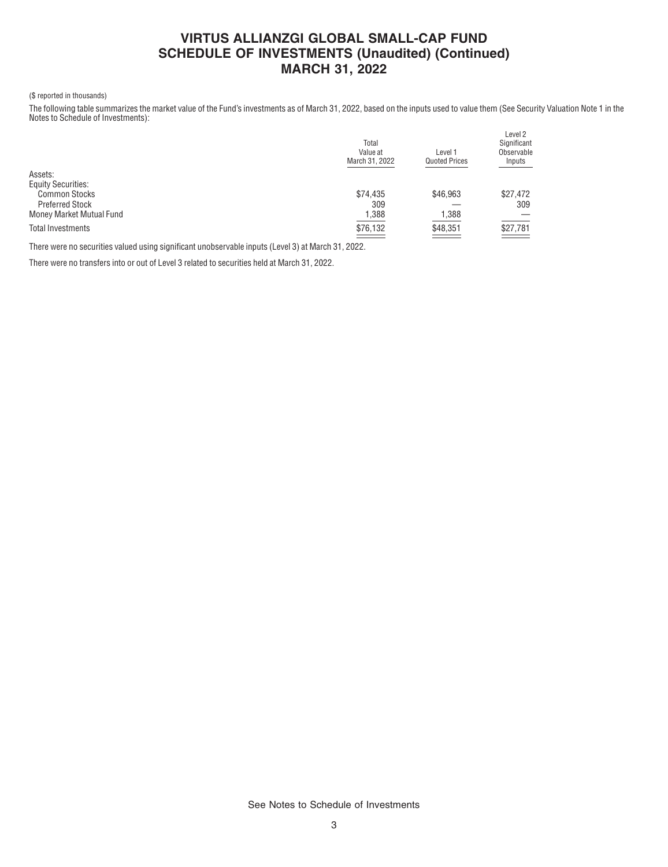# **VIRTUS ALLIANZGI GLOBAL SMALL-CAP FUND SCHEDULE OF INVESTMENTS (Unaudited) (Continued) MARCH 31, 2022**

#### (\$ reported in thousands)

The following table summarizes the market value of the Fund's investments as of March 31, 2022, based on the inputs used to value them (See Security Valuation Note 1 in the Notes to Schedule of Investments):

|                           | Total<br>Value at<br>March 31, 2022 | Level 1<br><b>Quoted Prices</b> | Level 2<br>Significant<br>Observable<br>Inputs |
|---------------------------|-------------------------------------|---------------------------------|------------------------------------------------|
| Assets:                   |                                     |                                 |                                                |
| <b>Equity Securities:</b> |                                     |                                 |                                                |
| <b>Common Stocks</b>      | \$74,435                            | \$46,963                        | \$27,472                                       |
| <b>Preferred Stock</b>    | 309                                 |                                 | 309                                            |
| Money Market Mutual Fund  | 1,388                               | 1,388                           |                                                |
| <b>Total Investments</b>  | \$76,132                            | \$48,351                        | $\frac{$27,781}{2}$                            |
|                           |                                     | <b>Contract Contract</b>        |                                                |

There were no securities valued using significant unobservable inputs (Level 3) at March 31, 2022.

There were no transfers into or out of Level 3 related to securities held at March 31, 2022.

See Notes to Schedule of Investments